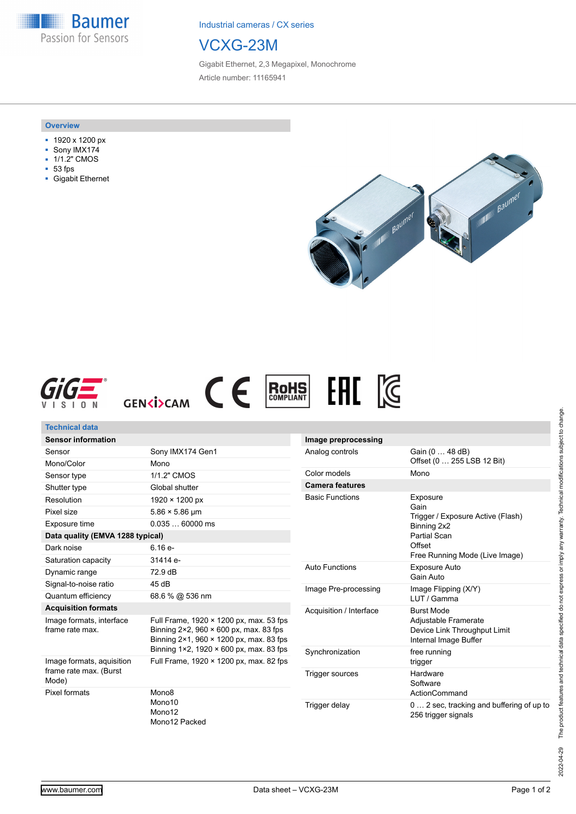**Baumer** Passion for Sensors

Industrial cameras / CX series

# VCXG-23M

Gigabit Ethernet, 2,3 Megapixel, Monochrome Article number: 11165941

#### **Overview**

- 1920 x 1200 px
- Sony IMX174
- **1/1.2" CMOS**
- 53 fps
- Gigabit Ethernet







## **Technical data Sensor information**

| Sensor Information                                           |                                                                                                                                                                                                                  |  |  |  |
|--------------------------------------------------------------|------------------------------------------------------------------------------------------------------------------------------------------------------------------------------------------------------------------|--|--|--|
| Sensor                                                       | Sony IMX174 Gen1                                                                                                                                                                                                 |  |  |  |
| Mono/Color                                                   | Mono                                                                                                                                                                                                             |  |  |  |
| Sensor type                                                  | 1/1.2" CMOS                                                                                                                                                                                                      |  |  |  |
| Shutter type                                                 | Global shutter                                                                                                                                                                                                   |  |  |  |
| Resolution                                                   | $1920 \times 1200 \text{ px}$                                                                                                                                                                                    |  |  |  |
| Pixel size                                                   | $5.86 \times 5.86 \,\mathrm{\upmu m}$                                                                                                                                                                            |  |  |  |
| Exposure time                                                | $0.03560000$ ms                                                                                                                                                                                                  |  |  |  |
| Data quality (EMVA 1288 typical)                             |                                                                                                                                                                                                                  |  |  |  |
| Dark noise                                                   | $6.16e-$                                                                                                                                                                                                         |  |  |  |
| Saturation capacity                                          | 31414 e-                                                                                                                                                                                                         |  |  |  |
| Dynamic range                                                | 72.9 dB                                                                                                                                                                                                          |  |  |  |
| Signal-to-noise ratio                                        | 45dB                                                                                                                                                                                                             |  |  |  |
| Quantum efficiency                                           | 68.6 % @ 536 nm                                                                                                                                                                                                  |  |  |  |
| <b>Acquisition formats</b>                                   |                                                                                                                                                                                                                  |  |  |  |
| Image formats, interface<br>frame rate max.                  | Full Frame, $1920 \times 1200$ px, max, 53 fps<br>Binning $2 \times 2$ , 960 $\times$ 600 px, max. 83 fps<br>Binning $2 \times 1$ , 960 $\times$ 1200 px, max. 83 fps<br>Binning 1×2, 1920 × 600 px, max. 83 fps |  |  |  |
| Image formats, aquisition<br>frame rate max. (Burst<br>Mode) | Full Frame, 1920 × 1200 px, max. 82 fps                                                                                                                                                                          |  |  |  |
| Pixel formats                                                | Mono <sub>8</sub><br>Mono <sub>10</sub><br>Mono12<br>Mono12 Packed                                                                                                                                               |  |  |  |

| Image preprocessing     |                                                                                                                                  |
|-------------------------|----------------------------------------------------------------------------------------------------------------------------------|
| Analog controls         | Gain (0  48 dB)<br>Offset (0  255 LSB 12 Bit)                                                                                    |
| Color models            | Mono                                                                                                                             |
| <b>Camera features</b>  |                                                                                                                                  |
| <b>Basic Functions</b>  | Exposure<br>Gain<br>Trigger / Exposure Active (Flash)<br>Binning 2x2<br>Partial Scan<br>Offset<br>Free Running Mode (Live Image) |
| Auto Functions          | Exposure Auto<br>Gain Auto                                                                                                       |
| Image Pre-processing    | Image Flipping (X/Y)<br>I UT / Gamma                                                                                             |
| Acquisition / Interface | <b>Burst Mode</b><br>Adjustable Framerate<br>Device Link Throughput Limit<br>Internal Image Buffer                               |
| Synchronization         | free running<br>trigger                                                                                                          |
| Trigger sources         | Hardware<br>Software<br>ActionCommand                                                                                            |
| Trigger delay           | 0  2 sec, tracking and buffering of up to<br>256 trigger signals                                                                 |